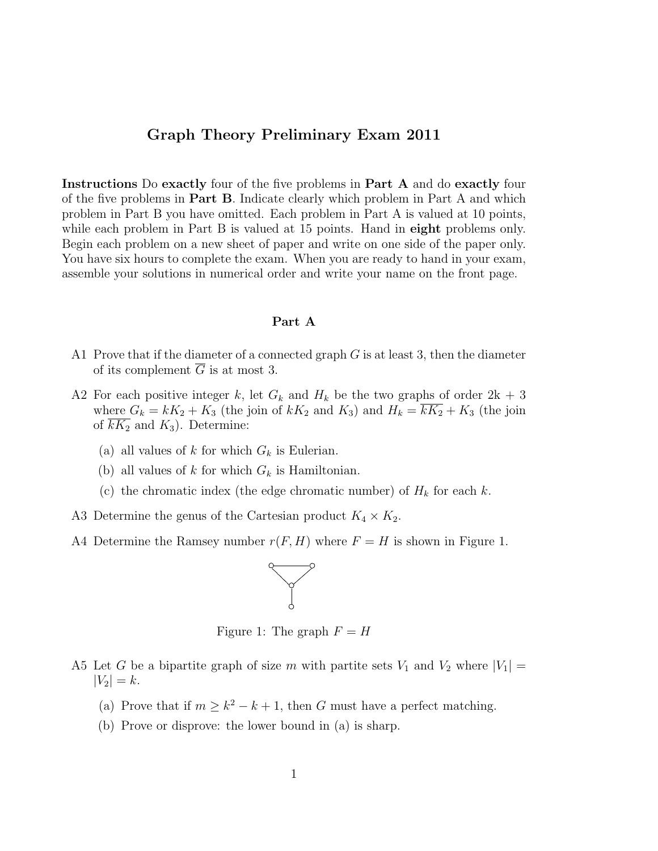## Graph Theory Preliminary Exam 2011

Instructions Do exactly four of the five problems in Part A and do exactly four of the five problems in Part B. Indicate clearly which problem in Part A and which problem in Part B you have omitted. Each problem in Part A is valued at 10 points, while each problem in Part B is valued at 15 points. Hand in **eight** problems only. Begin each problem on a new sheet of paper and write on one side of the paper only. You have six hours to complete the exam. When you are ready to hand in your exam, assemble your solutions in numerical order and write your name on the front page.

## Part A

- A1 Prove that if the diameter of a connected graph  $G$  is at least 3, then the diameter of its complement  $\overline{G}$  is at most 3.
- A2 For each positive integer k, let  $G_k$  and  $H_k$  be the two graphs of order  $2k + 3$ where  $G_k = kK_2 + K_3$  (the join of  $kK_2$  and  $K_3$ ) and  $H_k = \overline{kK_2} + K_3$  (the join of  $\overline{kK_2}$  and  $K_3$ ). Determine:
	- (a) all values of k for which  $G_k$  is Eulerian.
	- (b) all values of k for which  $G_k$  is Hamiltonian.
	- (c) the chromatic index (the edge chromatic number) of  $H_k$  for each k.
- A3 Determine the genus of the Cartesian product  $K_4 \times K_2$ .
- A4 Determine the Ramsey number  $r(F, H)$  where  $F = H$  is shown in Figure 1.



Figure 1: The graph  $F = H$ 

- A5 Let G be a bipartite graph of size m with partite sets  $V_1$  and  $V_2$  where  $|V_1|$  =  $|V_2| = k.$ 
	- (a) Prove that if  $m \geq k^2 k + 1$ , then G must have a perfect matching.
	- (b) Prove or disprove: the lower bound in (a) is sharp.